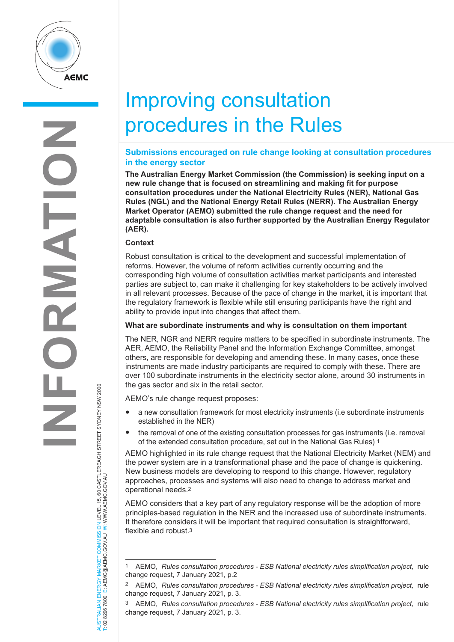

# Improving consultation procedures in the Rules

# **Submissions encouraged on rule change looking at consultation procedures in the energy sector**

**The Australian Energy Market Commission (the Commission) is seeking input on a new rule change that is focused on streamlining and making fit for purpose consultation procedures under the National Electricity Rules (NER), National Gas Rules (NGL) and the National Energy Retail Rules (NERR). The Australian Energy Market Operator (AEMO) submitted the rule change request and the need for adaptable consultation is also further supported by the Australian Energy Regulator (AER).** 

### **Context**

Robust consultation is critical to the development and successful implementation of reforms. However, the volume of reform activities currently occurring and the corresponding high volume of consultation activities market participants and interested parties are subject to, can make it challenging for key stakeholders to be actively involved in all relevant processes. Because of the pace of change in the market, it is important that the regulatory framework is flexible while still ensuring participants have the right and ability to provide input into changes that affect them.

## **What are subordinate instruments and why is consultation on them important**

The NER, NGR and NERR require matters to be specified in subordinate instruments. The AER, AEMO, the Reliability Panel and the Information Exchange Committee, amongst others, are responsible for developing and amending these. In many cases, once these instruments are made industry participants are required to comply with these. There are over 100 subordinate instruments in the electricity sector alone, around 30 instruments in the gas sector and six in the retail sector.

AEMO's rule change request proposes:

- a new consultation framework for most electricity instruments (i.e subordinate instruments established in the NER)
- the removal of one of the existing consultation processes for gas instruments (i.e. removal of the extended consultation procedure, set out in the National Gas Rules) 1

AEMO highlighted in its rule change request that the National Electricity Market (NEM) and the power system are in a transformational phase and the pace of change is quickening. New business models are developing to respond to this change. However, regulatory approaches, processes and systems will also need to change to address market and operational needs.2

AEMO considers that a key part of any regulatory response will be the adoption of more principles-based regulation in the NER and the increased use of subordinate instruments. It therefore considers it will be important that required consultation is straightforward, flexible and robust.3

AUSTRALIAN ENERGY MARKET COMMISSION LEVEL 15, 60 CASTLEREAGH STREET SYDNEY NSW 2000<br>T: 02 8296 7800 E: AEMC@AEMC.GOV.AU W: WWW.AEMC.GOV.AU AUSTRALIAN ENERGY MARKET COMMISSION LEVEL 15, 60 CASTLEREAGH STREET SYDNEY NSW 2000 T: 02 8296 7800 E: AEMC@AEMC.GOV.AU W: WWW.AEMC.GOV.AU

<sup>1</sup> AEMO, *Rules consultation procedures - ESB National electricity rules simplification project,* rule change request, 7 January 2021, p.2

<sup>2</sup> AEMO, *Rules consultation procedures - ESB National electricity rules simplification project,* rule change request, 7 January 2021, p. 3.

<sup>3</sup> AEMO, *Rules consultation procedures - ESB National electricity rules simplification project,* rule change request, 7 January 2021, p. 3.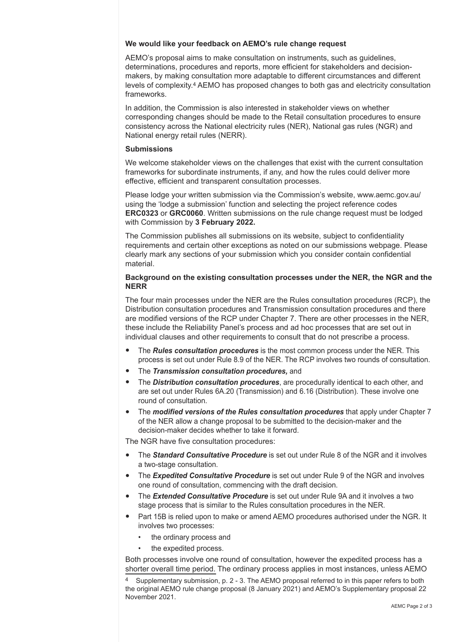### **We would like your feedback on AEMO's rule change request**

AEMO's proposal aims to make consultation on instruments, such as guidelines, determinations, procedures and reports, more efficient for stakeholders and decisionmakers, by making consultation more adaptable to different circumstances and different levels of complexity.4 AEMO has proposed changes to both gas and electricity consultation frameworks.

In addition, the Commission is also interested in stakeholder views on whether corresponding changes should be made to the Retail consultation procedures to ensure consistency across the National electricity rules (NER), National gas rules (NGR) and National energy retail rules (NERR).

### **Submissions**

We welcome stakeholder views on the challenges that exist with the current consultation frameworks for subordinate instruments, if any, and how the rules could deliver more effective, efficient and transparent consultation processes.

Please lodge your written submission via the Commission's website, www.aemc.gov.au/ using the 'lodge a submission' function and selecting the project reference codes **ERC0323** or **GRC0060**. Written submissions on the rule change request must be lodged with Commission by **3 February 2022.** 

The Commission publishes all submissions on its website, subject to confidentiality requirements and certain other exceptions as noted on our submissions webpage. Please clearly mark any sections of your submission which you consider contain confidential material.

# **Background on the existing consultation processes under the NER, the NGR and the NERR**

The four main processes under the NER are the Rules consultation procedures (RCP), the Distribution consultation procedures and Transmission consultation procedures and there are modified versions of the RCP under Chapter 7. There are other processes in the NER, these include the Reliability Panel's process and ad hoc processes that are set out in individual clauses and other requirements to consult that do not prescribe a process.

- The *Rules consultation procedures* is the most common process under the NER. This process is set out under Rule 8.9 of the NER. The RCP involves two rounds of consultation.
- The *Transmission consultation procedures,* and
- The *Distribution consultation procedures*, are procedurally identical to each other, and are set out under Rules 6A.20 (Transmission) and 6.16 (Distribution). These involve one round of consultation.
- The *modified versions of the Rules consultation procedures* that apply under Chapter 7 of the NER allow a change proposal to be submitted to the decision-maker and the decision-maker decides whether to take it forward.

The NGR have five consultation procedures:

- The **Standard Consultative Procedure** is set out under Rule 8 of the NGR and it involves a two-stage consultation.
- The *Expedited Consultative Procedure* is set out under Rule 9 of the NGR and involves one round of consultation, commencing with the draft decision.
- The *Extended Consultative Procedure* is set out under Rule 9A and it involves a two stage process that is similar to the Rules consultation procedures in the NER.
- Part 15B is relied upon to make or amend AEMO procedures authorised under the NGR. It involves two processes:
	- the ordinary process and
	- the expedited process.

Both processes involve one round of consultation, however the expedited process has a shorter overall time period. The ordinary process applies in most instances, unless AEMO

Supplementary submission, p. 2 - 3. The AEMO proposal referred to in this paper refers to both the original AEMO rule change proposal (8 January 2021) and AEMO's Supplementary proposal 22 November 2021.